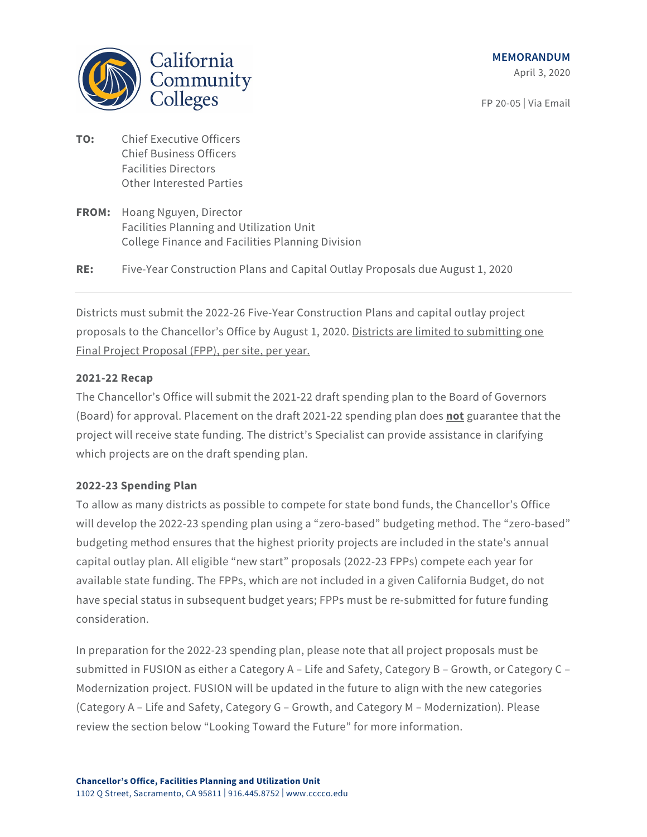California Community Colleges

FP 20-05 | Via Email

- **TO:** Chief Executive Officers Chief Business Officers Facilities Directors Other Interested Parties
- **FROM:** Hoang Nguyen, Director Facilities Planning and Utilization Unit College Finance and Facilities Planning Division

**RE:** Five-Year Construction Plans and Capital Outlay Proposals due August 1, 2020

Districts must submit the 2022-26 Five-Year Construction Plans and capital outlay project proposals to the Chancellor's Office by August 1, 2020. Districts are limited to submitting one Final Project Proposal (FPP), per site, per year.

## **2021-22 Recap**

The Chancellor's Office will submit the 2021-22 draft spending plan to the Board of Governors (Board) for approval. Placement on the draft 2021-22 spending plan does **not** guarantee that the project will receive state funding. The district's Specialist can provide assistance in clarifying which projects are on the draft spending plan.

## **2022-23 Spending Plan**

To allow as many districts as possible to compete for state bond funds, the Chancellor's Office will develop the 2022-23 spending plan using a "zero-based" budgeting method. The "zero-based" budgeting method ensures that the highest priority projects are included in the state's annual capital outlay plan. All eligible "new start" proposals (2022-23 FPPs) compete each year for available state funding. The FPPs, which are not included in a given California Budget, do not have special status in subsequent budget years; FPPs must be re-submitted for future funding consideration.

In preparation for the 2022-23 spending plan, please note that all project proposals must be submitted in FUSION as either a Category A – Life and Safety, Category B – Growth, or Category C – Modernization project. FUSION will be updated in the future to align with the new categories (Category A – Life and Safety, Category G – Growth, and Category M – Modernization). Please review the section below "Looking Toward the Future" for more information.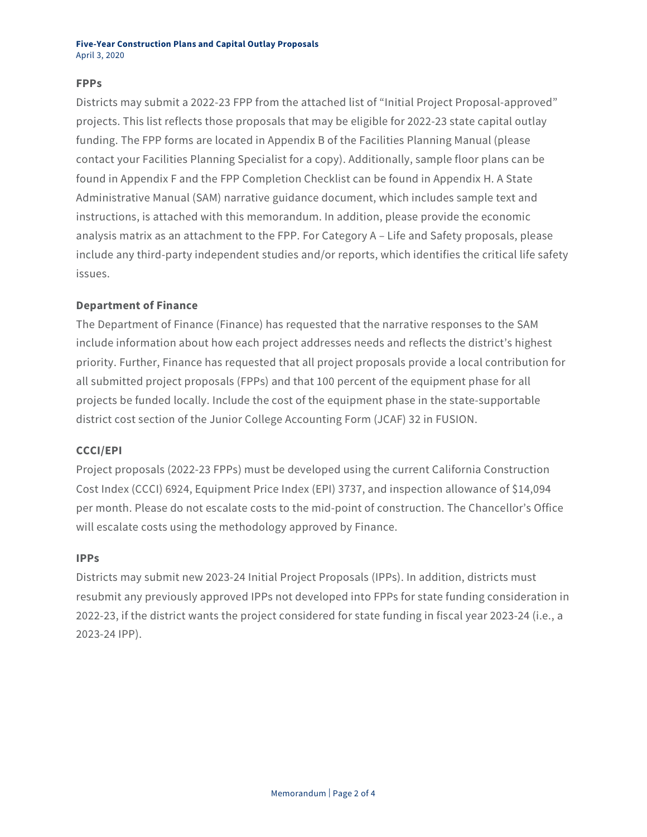## **FPPs**

Districts may submit a 2022-23 FPP from the attached list of "Initial Project Proposal-approved" projects. This list reflects those proposals that may be eligible for 2022-23 state capital outlay funding. The FPP forms are located in Appendix B of the Facilities Planning Manual (please contact your Facilities Planning Specialist for a copy). Additionally, sample floor plans can be found in Appendix F and the FPP Completion Checklist can be found in Appendix H. A State Administrative Manual (SAM) narrative guidance document, which includes sample text and instructions, is attached with this memorandum. In addition, please provide the economic analysis matrix as an attachment to the FPP. For Category A – Life and Safety proposals, please include any third-party independent studies and/or reports, which identifies the critical life safety issues.

# **Department of Finance**

The Department of Finance (Finance) has requested that the narrative responses to the SAM include information about how each project addresses needs and reflects the district's highest priority. Further, Finance has requested that all project proposals provide a local contribution for all submitted project proposals (FPPs) and that 100 percent of the equipment phase for all projects be funded locally. Include the cost of the equipment phase in the state-supportable district cost section of the Junior College Accounting Form (JCAF) 32 in FUSION.

## **CCCI/EPI**

Project proposals (2022-23 FPPs) must be developed using the current California Construction Cost Index (CCCI) 6924, Equipment Price Index (EPI) 3737, and inspection allowance of \$14,094 per month. Please do not escalate costs to the mid-point of construction. The Chancellor's Office will escalate costs using the methodology approved by Finance.

## **IPPs**

Districts may submit new 2023-24 Initial Project Proposals (IPPs). In addition, districts must resubmit any previously approved IPPs not developed into FPPs for state funding consideration in 2022-23, if the district wants the project considered for state funding in fiscal year 2023-24 (i.e., a 2023-24 IPP).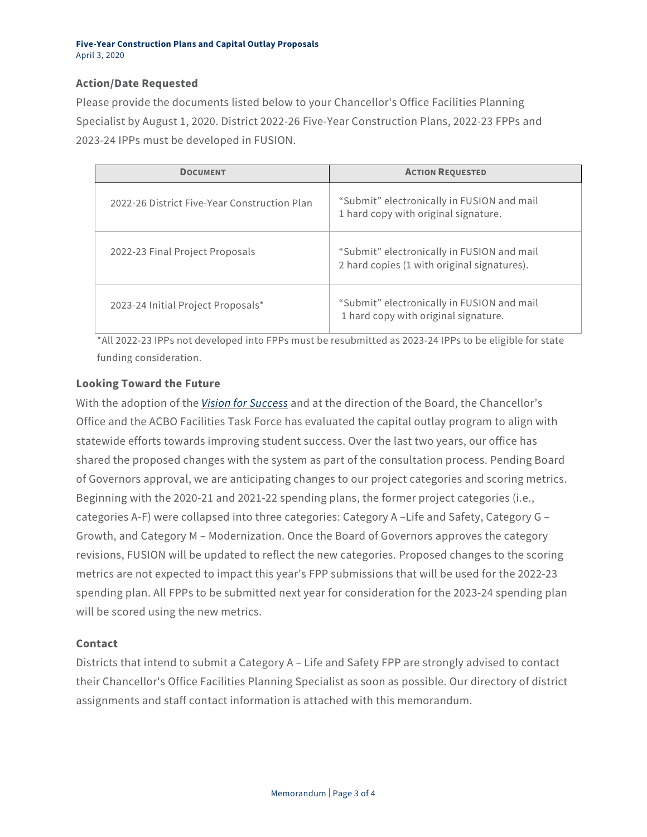#### **Five-Year Construction Plans and Capital Outlay Proposals** April 3, 2020

# **Action/Date Requested**

Please provide the documents listed below to your Chancellor's Office Facilities Planning Specialist by August 1, 2020. District 2022-26 Five-Year Construction Plans, 2022-23 FPPs and 2023-24 IPPs must be developed in FUSION.

| <b>DOCUMENT</b>                              | <b>ACTION REQUESTED</b>                                                                   |
|----------------------------------------------|-------------------------------------------------------------------------------------------|
| 2022-26 District Five-Year Construction Plan | "Submit" electronically in FUSION and mail<br>1 hard copy with original signature.        |
| 2022-23 Final Project Proposals              | "Submit" electronically in FUSION and mail<br>2 hard copies (1 with original signatures). |
| 2023-24 Initial Project Proposals*           | "Submit" electronically in FUSION and mail<br>1 hard copy with original signature.        |

\*All 2022-23 IPPs not developed into FPPs must be resubmitted as 2023-24 IPPs to be eligible for state funding consideration.

# **Looking Toward the Future**

With the adoption of the *[Vision for Success](https://www.cccco.edu/About-Us/Vision-for-Success)* and at the direction of the Board, the Chancellor's Office and the ACBO Facilities Task Force has evaluated the capital outlay program to align with statewide efforts towards improving student success. Over the last two years, our office has shared the proposed changes with the system as part of the consultation process. Pending Board of Governors approval, we are anticipating changes to our project categories and scoring metrics. Beginning with the 2020-21 and 2021-22 spending plans, the former project categories (i.e., categories A-F) were collapsed into three categories: Category A –Life and Safety, Category G – Growth, and Category M – Modernization. Once the Board of Governors approves the category revisions, FUSION will be updated to reflect the new categories. Proposed changes to the scoring metrics are not expected to impact this year's FPP submissions that will be used for the 2022-23 spending plan. All FPPs to be submitted next year for consideration for the 2023-24 spending plan will be scored using the new metrics.

## **Contact**

Districts that intend to submit a Category A – Life and Safety FPP are strongly advised to contact their Chancellor's Office Facilities Planning Specialist as soon as possible. Our directory of district assignments and staff contact information is attached with this memorandum.